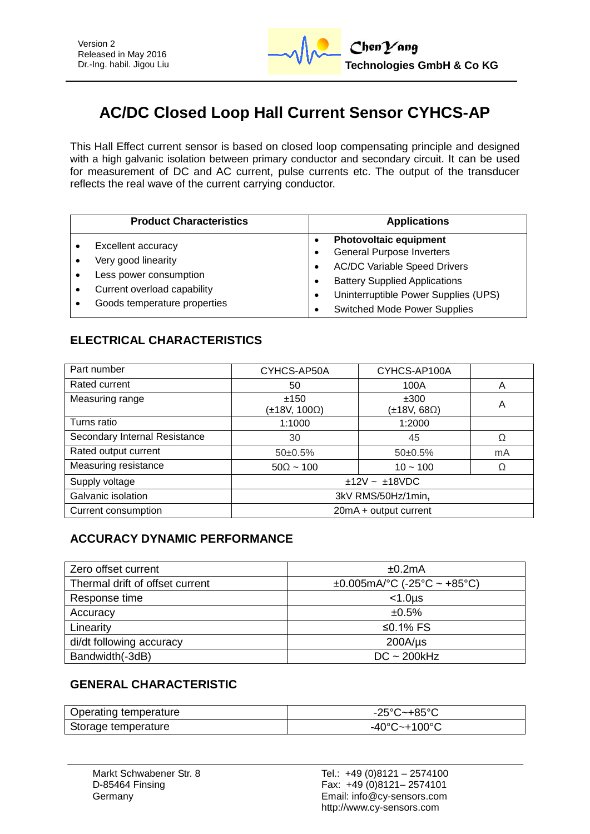# **AC/DC Closed Loop Hall Current Sensor CYHCS-AP**

This Hall Effect current sensor is based on closed loop compensating principle and designed with a high galvanic isolation between primary conductor and secondary circuit. It can be used for measurement of DC and AC current, pulse currents etc. The output of the transducer reflects the real wave of the current carrying conductor.

| <b>Product Characteristics</b>                                                                                                     | <b>Applications</b>                                                                                                                                                                                                             |
|------------------------------------------------------------------------------------------------------------------------------------|---------------------------------------------------------------------------------------------------------------------------------------------------------------------------------------------------------------------------------|
| Excellent accuracy<br>Very good linearity<br>Less power consumption<br>Current overload capability<br>Goods temperature properties | <b>Photovoltaic equipment</b><br><b>General Purpose Inverters</b><br><b>AC/DC Variable Speed Drivers</b><br><b>Battery Supplied Applications</b><br>Uninterruptible Power Supplies (UPS)<br><b>Switched Mode Power Supplies</b> |

## **ELECTRICAL CHARACTERISTICS**

| Part number                   | CYHCS-AP50A           | CYHCS-AP100A                |    |
|-------------------------------|-----------------------|-----------------------------|----|
| Rated current                 | 50                    | 100A                        | A  |
| Measuring range               | ±150<br>(±18V, 100Ω)  | ±300<br>$\pm 18V, 68\Omega$ | A  |
| Turns ratio                   | 1:1000                | 1:2000                      |    |
| Secondary Internal Resistance | 30                    | 45                          | Ω  |
| Rated output current          | $50\pm0.5\%$          | $50\pm0.5\%$                | mA |
| Measuring resistance          | $50\Omega \sim 100$   | $10 - 100$                  | Ω  |
| Supply voltage                | $±12V - ±18VDC$       |                             |    |
| Galvanic isolation            | 3kV RMS/50Hz/1min,    |                             |    |
| Current consumption           | 20mA + output current |                             |    |

## **ACCURACY DYNAMIC PERFORMANCE**

| Zero offset current             | ±0.2mA                            |
|---------------------------------|-----------------------------------|
| Thermal drift of offset current | $\pm 0.005$ mA/°C (-25°C ~ +85°C) |
| Response time                   | $<$ 1.0 $\mu$ s                   |
| Accuracy                        | ±0.5%                             |
| Linearity                       | ≤0.1% $FS$                        |
| di/dt following accuracy        | $200A/\mu s$                      |
| Bandwidth(-3dB)                 | $DC \sim 200kHz$                  |

#### **GENERAL CHARACTERISTIC**

| Operating temperature | -25°C~+85°C  |
|-----------------------|--------------|
| Storage temperature   | -40°C~+100°C |